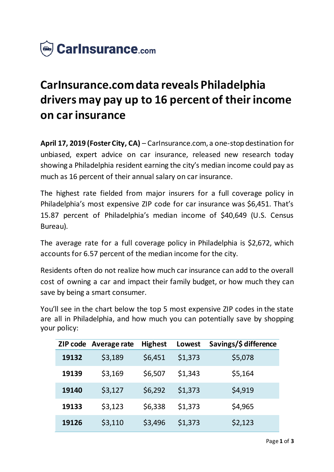

# **CarInsurance.com data reveals Philadelphia drivers may pay up to 16 percent of their income on car insurance**

**April 17, 2019 (Foster City, CA)** – CarInsurance.com, a one-stop destination for unbiased, expert advice on car insurance, released new research today showing a Philadelphia resident earning the city's median income could pay as much as 16 percent of their annual salary on car insurance.

The highest rate fielded from major insurers for a full coverage policy in Philadelphia's most expensive ZIP code for car insurance was \$6,451. That's 15.87 percent of Philadelphia's median income of \$40,649 (U.S. Census Bureau).

The average rate for a full coverage policy in Philadelphia is \$2,672, which accounts for 6.57 percent of the median income for the city.

Residents often do not realize how much car insurance can add to the overall cost of owning a car and impact their family budget, or how much they can save by being a smart consumer.

You'll see in the chart below the top 5 most expensive ZIP codes in the state are all in Philadelphia, and how much you can potentially save by shopping your policy:

| ZIP code | Average rate | <b>Highest</b> | Lowest  | Savings/\$ difference |
|----------|--------------|----------------|---------|-----------------------|
| 19132    | \$3,189      | \$6,451        | \$1,373 | \$5,078               |
| 19139    | \$3,169      | \$6,507        | \$1,343 | \$5,164               |
| 19140    | \$3,127      | \$6,292        | \$1,373 | \$4,919               |
| 19133    | \$3,123      | \$6,338        | \$1,373 | \$4,965               |
| 19126    | \$3,110      | \$3,496        | \$1,373 | \$2,123               |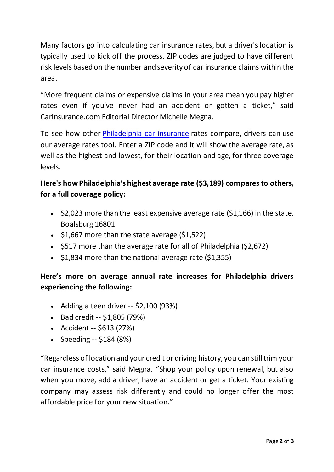Many factors go into calculating car insurance rates, but a driver's location is typically used to kick off the process. ZIP codes are judged to have different risk levels based on the number and severity of car insurance claims within the area.

"More frequent claims or expensive claims in your area mean you pay higher rates even if you've never had an accident or gotten a ticket," said CarInsurance.com Editorial Director Michelle Megna.

To see how other [Philadelphia car insurance](https://www.carinsurance.com/city/Philadelphia-auto-insurance-PA.aspx) rates compare, drivers can use our average rates tool. Enter a ZIP code and it will show the average rate, as well as the highest and lowest, for their location and age, for three coverage levels.

## **Here's how Philadelphia's highest average rate (\$3,189) compares to others, for a full coverage policy:**

- $\cdot$  \$2,023 more than the least expensive average rate (\$1,166) in the state, Boalsburg 16801
- $\cdot$  \$1,667 more than the state average (\$1,522)
- $\cdot$  \$517 more than the average rate for all of Philadelphia (\$2,672)
- $\cdot$  \$1,834 more than the national average rate (\$1,355)

### **Here's more on average annual rate increases for Philadelphia drivers experiencing the following:**

- Adding a teen driver  $-52,100$  (93%)
- $-Bad credit -51,805 (79%)$
- Accident -- \$613 (27%)
- Speeding  $-5184 (8%)$

"Regardless of location and your credit or driving history, you can still trim your car insurance costs," said Megna. "Shop your policy upon renewal, but also when you move, add a driver, have an accident or get a ticket. Your existing company may assess risk differently and could no longer offer the most affordable price for your new situation."